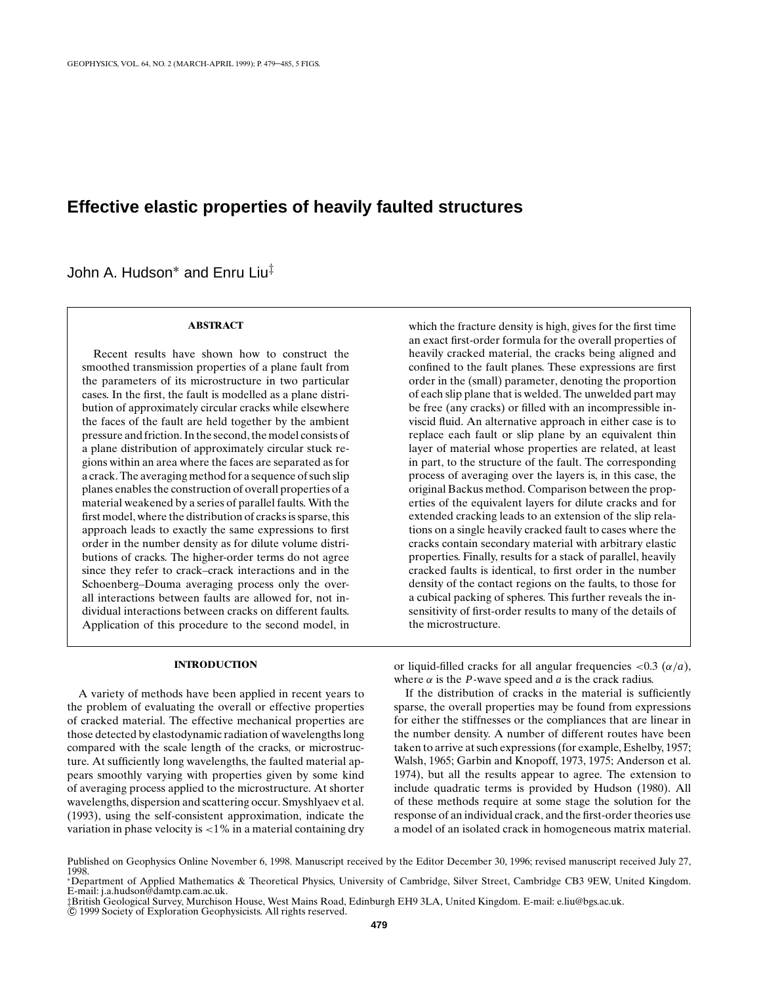## **Effective elastic properties of heavily faulted structures**

John A. Hudson<sup>∗</sup> and Enru Liu‡

### **ABSTRACT**

Recent results have shown how to construct the smoothed transmission properties of a plane fault from the parameters of its microstructure in two particular cases. In the first, the fault is modelled as a plane distribution of approximately circular cracks while elsewhere the faces of the fault are held together by the ambient pressure and friction. In the second, the model consists of a plane distribution of approximately circular stuck regions within an area where the faces are separated as for a crack. The averaging method for a sequence of such slip planes enables the construction of overall properties of a material weakened by a series of parallel faults. With the first model, where the distribution of cracks is sparse, this approach leads to exactly the same expressions to first order in the number density as for dilute volume distributions of cracks. The higher-order terms do not agree since they refer to crack–crack interactions and in the Schoenberg–Douma averaging process only the overall interactions between faults are allowed for, not individual interactions between cracks on different faults. Application of this procedure to the second model, in which the fracture density is high, gives for the first time an exact first-order formula for the overall properties of heavily cracked material, the cracks being aligned and confined to the fault planes. These expressions are first order in the (small) parameter, denoting the proportion of each slip plane that is welded. The unwelded part may be free (any cracks) or filled with an incompressible inviscid fluid. An alternative approach in either case is to replace each fault or slip plane by an equivalent thin layer of material whose properties are related, at least in part, to the structure of the fault. The corresponding process of averaging over the layers is, in this case, the original Backus method. Comparison between the properties of the equivalent layers for dilute cracks and for extended cracking leads to an extension of the slip relations on a single heavily cracked fault to cases where the cracks contain secondary material with arbitrary elastic properties. Finally, results for a stack of parallel, heavily cracked faults is identical, to first order in the number density of the contact regions on the faults, to those for a cubical packing of spheres. This further reveals the insensitivity of first-order results to many of the details of the microstructure.

### **INTRODUCTION**

A variety of methods have been applied in recent years to the problem of evaluating the overall or effective properties of cracked material. The effective mechanical properties are those detected by elastodynamic radiation of wavelengths long compared with the scale length of the cracks, or microstructure. At sufficiently long wavelengths, the faulted material appears smoothly varying with properties given by some kind of averaging process applied to the microstructure. At shorter wavelengths, dispersion and scattering occur. Smyshlyaev et al. (1993), using the self-consistent approximation, indicate the variation in phase velocity is <1% in a material containing dry or liquid-filled cracks for all angular frequencies  $\langle 0.3 \ (\alpha/a)$ , where  $\alpha$  is the *P*-wave speed and  $\alpha$  is the crack radius.

If the distribution of cracks in the material is sufficiently sparse, the overall properties may be found from expressions for either the stiffnesses or the compliances that are linear in the number density. A number of different routes have been taken to arrive at such expressions (for example, Eshelby, 1957; Walsh, 1965; Garbin and Knopoff, 1973, 1975; Anderson et al. 1974), but all the results appear to agree. The extension to include quadratic terms is provided by Hudson (1980). All of these methods require at some stage the solution for the response of an individual crack, and the first-order theories use a model of an isolated crack in homogeneous matrix material.

Published on Geophysics Online November 6, 1998. Manuscript received by the Editor December 30, 1996; revised manuscript received July 27, 1998.

<sup>∗</sup>Department of Applied Mathematics & Theoretical Physics, University of Cambridge, Silver Street, Cambridge CB3 9EW, United Kingdom. E-mail: j.a.hudson@damtp.cam.ac.uk. ‡British Geological Survey, Murchison House, West Mains Road, Edinburgh EH9 3LA, United Kingdom. E-mail: e.liu@bgs.ac.uk.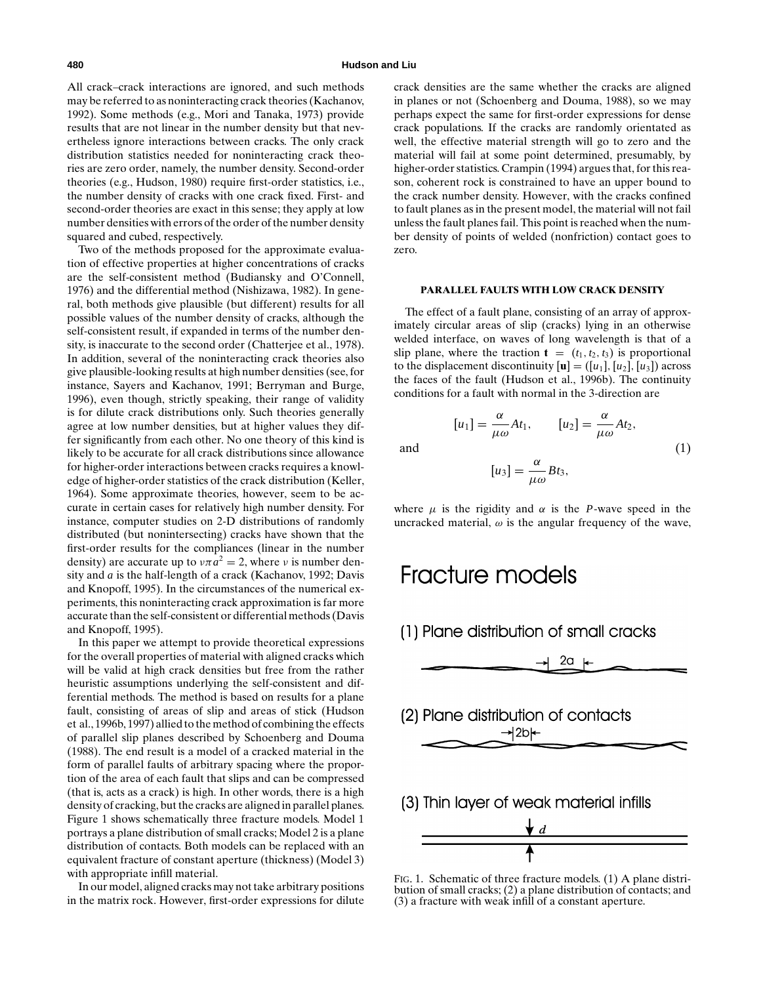All crack–crack interactions are ignored, and such methods may be referred to as noninteracting crack theories (Kachanov, 1992). Some methods (e.g., Mori and Tanaka, 1973) provide results that are not linear in the number density but that nevertheless ignore interactions between cracks. The only crack distribution statistics needed for noninteracting crack theories are zero order, namely, the number density. Second-order theories (e.g., Hudson, 1980) require first-order statistics, i.e., the number density of cracks with one crack fixed. First- and second-order theories are exact in this sense; they apply at low number densities with errors of the order of the number density squared and cubed, respectively.

Two of the methods proposed for the approximate evaluation of effective properties at higher concentrations of cracks are the self-consistent method (Budiansky and O'Connell, 1976) and the differential method (Nishizawa, 1982). In general, both methods give plausible (but different) results for all possible values of the number density of cracks, although the self-consistent result, if expanded in terms of the number density, is inaccurate to the second order (Chatterjee et al., 1978). In addition, several of the noninteracting crack theories also give plausible-looking results at high number densities (see, for instance, Sayers and Kachanov, 1991; Berryman and Burge, 1996), even though, strictly speaking, their range of validity is for dilute crack distributions only. Such theories generally agree at low number densities, but at higher values they differ significantly from each other. No one theory of this kind is likely to be accurate for all crack distributions since allowance for higher-order interactions between cracks requires a knowledge of higher-order statistics of the crack distribution (Keller, 1964). Some approximate theories, however, seem to be accurate in certain cases for relatively high number density. For instance, computer studies on 2-D distributions of randomly distributed (but nonintersecting) cracks have shown that the first-order results for the compliances (linear in the number density) are accurate up to  $\nu \pi a^2 = 2$ , where  $\nu$  is number density and *a* is the half-length of a crack (Kachanov, 1992; Davis and Knopoff, 1995). In the circumstances of the numerical experiments, this noninteracting crack approximation is far more accurate than the self-consistent or differential methods (Davis and Knopoff, 1995).

In this paper we attempt to provide theoretical expressions for the overall properties of material with aligned cracks which will be valid at high crack densities but free from the rather heuristic assumptions underlying the self-consistent and differential methods. The method is based on results for a plane fault, consisting of areas of slip and areas of stick (Hudson et al., 1996b, 1997) allied to the method of combining the effects of parallel slip planes described by Schoenberg and Douma (1988). The end result is a model of a cracked material in the form of parallel faults of arbitrary spacing where the proportion of the area of each fault that slips and can be compressed (that is, acts as a crack) is high. In other words, there is a high density of cracking, but the cracks are aligned in parallel planes. Figure 1 shows schematically three fracture models. Model 1 portrays a plane distribution of small cracks; Model 2 is a plane distribution of contacts. Both models can be replaced with an equivalent fracture of constant aperture (thickness) (Model 3) with appropriate infill material.

In our model, aligned cracks may not take arbitrary positions in the matrix rock. However, first-order expressions for dilute crack densities are the same whether the cracks are aligned in planes or not (Schoenberg and Douma, 1988), so we may perhaps expect the same for first-order expressions for dense crack populations. If the cracks are randomly orientated as well, the effective material strength will go to zero and the material will fail at some point determined, presumably, by higher-order statistics. Crampin (1994) argues that, for this reason, coherent rock is constrained to have an upper bound to the crack number density. However, with the cracks confined to fault planes as in the present model, the material will not fail unless the fault planes fail. This point is reached when the number density of points of welded (nonfriction) contact goes to zero.

### **PARALLEL FAULTS WITH LOW CRACK DENSITY**

The effect of a fault plane, consisting of an array of approximately circular areas of slip (cracks) lying in an otherwise welded interface, on waves of long wavelength is that of a slip plane, where the traction  $\mathbf{t} = (t_1, t_2, t_3)$  is proportional to the displacement discontinuity  $[\mathbf{u}] = ([u_1], [u_2], [u_3])$  across the faces of the fault (Hudson et al., 1996b). The continuity conditions for a fault with normal in the 3-direction are

$$
[u_1] = \frac{\alpha}{\mu \omega} At_1, \qquad [u_2] = \frac{\alpha}{\mu \omega} At_2,
$$
  
and  

$$
[u_3] = \frac{\alpha}{\mu \omega} B t_3,
$$
 (1)

where  $\mu$  is the rigidity and  $\alpha$  is the *P*-wave speed in the uncracked material,  $\omega$  is the angular frequency of the wave,

 $\mu\omega$ 

# Fracture models

(1) Plane distribution of small cracks



FIG. 1. Schematic of three fracture models. (1) A plane distribution of small cracks; (2) a plane distribution of contacts; and (3) a fracture with weak infill of a constant aperture.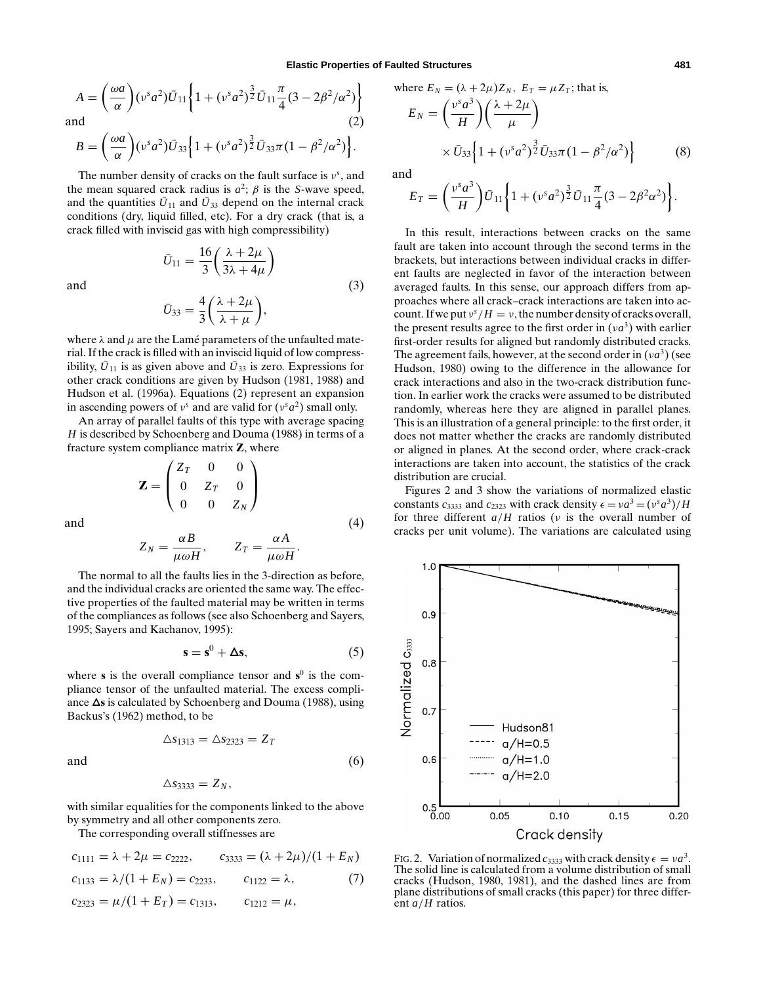$$
A = \left(\frac{\omega a}{\alpha}\right) (\nu^s a^2) \bar{U}_{11} \left\{ 1 + (\nu^s a^2)^{\frac{3}{2}} \bar{U}_{11} \frac{\pi}{4} (3 - 2\beta^2/\alpha^2) \right\}
$$
  
and (2)

$$
B = \left(\frac{\omega a}{\alpha}\right) (\nu^s a^2) \bar{U}_{33} \left\{1 + (\nu^s a^2)^{\frac{3}{2}} \bar{U}_{33} \pi (1 - \beta^2/\alpha^2)\right\}.
$$

The number density of cracks on the fault surface is  $v^s$ , and the mean squared crack radius is  $a^2$ ;  $\beta$  is the *S*-wave speed, and the quantities  $\bar{U}_{11}$  and  $\bar{U}_{33}$  depend on the internal crack conditions (dry, liquid filled, etc). For a dry crack (that is, a crack filled with inviscid gas with high compressibility)

$$
\bar{U}_{11} = \frac{16}{3} \left( \frac{\lambda + 2\mu}{3\lambda + 4\mu} \right)
$$
  
and  

$$
\bar{U}_{33} = \frac{4}{3} \left( \frac{\lambda + 2\mu}{\lambda + \mu} \right),
$$
 (3)

 $\setminus$ 

 $\int \lambda + 2\mu$ 

 $\lambda + \mu$ 

where  $\lambda$  and  $\mu$  are the Lamé parameters of the unfaulted material. If the crack is filled with an inviscid liquid of low compressibility,  $\bar{U}_{11}$  is as given above and  $\bar{U}_{33}$  is zero. Expressions for other crack conditions are given by Hudson (1981, 1988) and Hudson et al. (1996a). Equations (2) represent an expansion in ascending powers of  $v^s$  and are valid for  $(v^s a^2)$  small only.

An array of parallel faults of this type with average spacing *H* is described by Schoenberg and Douma (1988) in terms of a fracture system compliance matrix **Z**, where

$$
\mathbf{Z} = \begin{pmatrix} Z_T & 0 & 0 \\ 0 & Z_T & 0 \\ 0 & 0 & Z_N \end{pmatrix}
$$
 and (4)

$$
Z_N = \frac{\alpha B}{\mu \omega H}, \qquad Z_T = \frac{\alpha A}{\mu \omega H}.
$$

The normal to all the faults lies in the 3-direction as before, and the individual cracks are oriented the same way. The effective properties of the faulted material may be written in terms of the compliances as follows (see also Schoenberg and Sayers, 1995; Sayers and Kachanov, 1995):

$$
\mathbf{s} = \mathbf{s}^0 + \Delta \mathbf{s},\tag{5}
$$

where **s** is the overall compliance tensor and  $s^0$  is the compliance tensor of the unfaulted material. The excess compliance  $\Delta s$  is calculated by Schoenberg and Douma (1988), using Backus's (1962) method, to be

$$
\Delta s_{1313} = \Delta s_{2323} = Z_T
$$

and  $(6)$ 

$$
\Delta s_{3333}=Z_N,
$$

with similar equalities for the components linked to the above by symmetry and all other components zero.

The corresponding overall stiffnesses are

$$
c_{1111} = \lambda + 2\mu = c_{2222}, \qquad c_{3333} = (\lambda + 2\mu)/(1 + E_N)
$$
  

$$
c_{1133} = \lambda/(1 + E_N) = c_{2233}, \qquad c_{1122} = \lambda,
$$
 (7)

$$
c_{2323} = \mu/(1 + E_T) = c_{1313}, \qquad c_{1212} = \mu,
$$

where 
$$
E_N = (\lambda + 2\mu)Z_N
$$
,  $E_T = \mu Z_T$ ; that is,

$$
E_N = \left(\frac{v^s a^3}{H}\right) \left(\frac{\lambda + 2\mu}{\mu}\right)
$$
  
 
$$
\times \bar{U}_{33} \left\{1 + (v^s a^2)^{\frac{3}{2}} \bar{U}_{33} \pi (1 - \beta^2/\alpha^2)\right\}
$$
 (8)

and

$$
E_T = \left(\frac{v^s a^3}{H}\right) \bar{U}_{11} \left\{ 1 + (v^s a^2)^{\frac{3}{2}} \bar{U}_{11} \frac{\pi}{4} (3 - 2\beta^2 \alpha^2) \right\}.
$$

In this result, interactions between cracks on the same fault are taken into account through the second terms in the brackets, but interactions between individual cracks in different faults are neglected in favor of the interaction between averaged faults. In this sense, our approach differs from approaches where all crack–crack interactions are taken into account. If we put  $v^s/H = v$ , the number density of cracks overall, the present results agree to the first order in  $(\nu a^3)$  with earlier first-order results for aligned but randomly distributed cracks. The agreement fails, however, at the second order in  $(\nu a^3)$  (see Hudson, 1980) owing to the difference in the allowance for crack interactions and also in the two-crack distribution function. In earlier work the cracks were assumed to be distributed randomly, whereas here they are aligned in parallel planes. This is an illustration of a general principle: to the first order, it does not matter whether the cracks are randomly distributed or aligned in planes. At the second order, where crack-crack interactions are taken into account, the statistics of the crack distribution are crucial.

Figures 2 and 3 show the variations of normalized elastic constants  $c_{3333}$  and  $c_{2323}$  with crack density  $\epsilon = v a^3 = (v^s a^3)/H$ for three different *a*/*H* ratios (ν is the overall number of cracks per unit volume). The variations are calculated using



FIG. 2. Variation of normalized  $c_{3333}$  with crack density  $\epsilon = v a^3$ . The solid line is calculated from a volume distribution of small cracks (Hudson, 1980, 1981), and the dashed lines are from plane distributions of small cracks (this paper) for three different *a*/*H* ratios.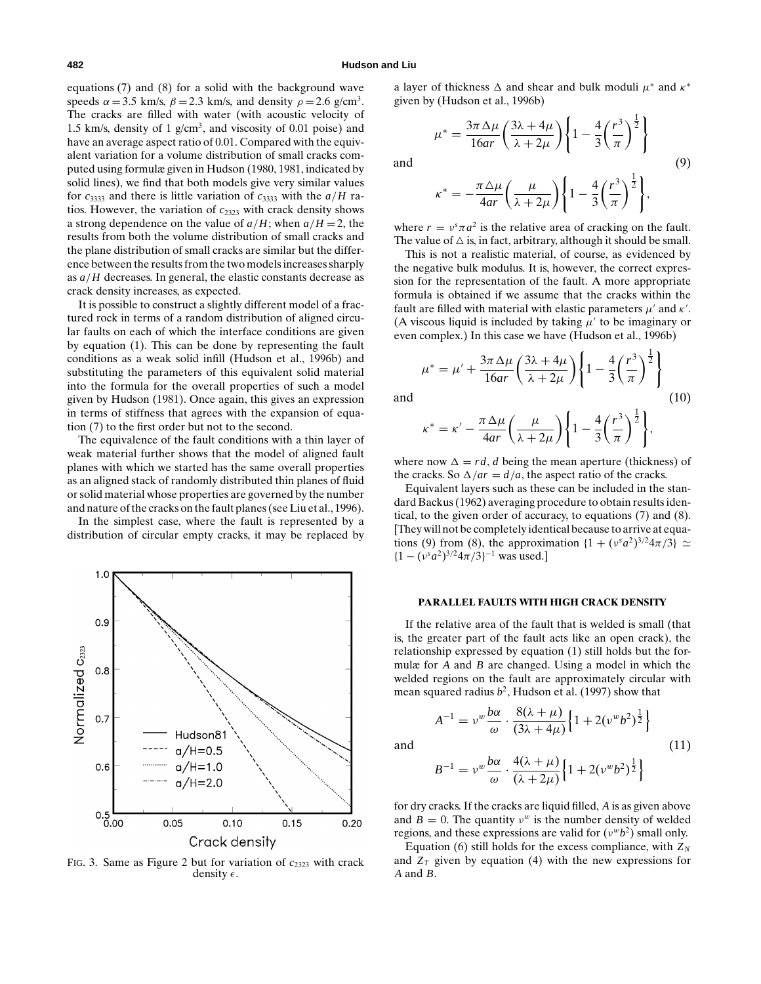equations (7) and (8) for a solid with the background wave speeds  $\alpha = 3.5$  km/s,  $\beta = 2.3$  km/s, and density  $\rho = 2.6$  g/cm<sup>3</sup>. The cracks are filled with water (with acoustic velocity of 1.5 km/s, density of 1  $g/cm<sup>3</sup>$ , and viscosity of 0.01 poise) and have an average aspect ratio of 0.01. Compared with the equivalent variation for a volume distribution of small cracks computed using formulæ given in Hudson (1980, 1981, indicated by solid lines), we find that both models give very similar values for  $c_{3333}$  and there is little variation of  $c_{3333}$  with the  $a/H$  ratios. However, the variation of  $c_{2323}$  with crack density shows a strong dependence on the value of  $a/H$ ; when  $a/H = 2$ , the results from both the volume distribution of small cracks and the plane distribution of small cracks are similar but the difference between the results from the two models increases sharply as *a*/*H* decreases. In general, the elastic constants decrease as crack density increases, as expected.

It is possible to construct a slightly different model of a fractured rock in terms of a random distribution of aligned circular faults on each of which the interface conditions are given by equation (1). This can be done by representing the fault conditions as a weak solid infill (Hudson et al., 1996b) and substituting the parameters of this equivalent solid material into the formula for the overall properties of such a model given by Hudson (1981). Once again, this gives an expression in terms of stiffness that agrees with the expansion of equation (7) to the first order but not to the second.

The equivalence of the fault conditions with a thin layer of weak material further shows that the model of aligned fault planes with which we started has the same overall properties as an aligned stack of randomly distributed thin planes of fluid or solid material whose properties are governed by the number and nature of the cracks on the fault planes (see Liu et al., 1996).

In the simplest case, where the fault is represented by a distribution of circular empty cracks, it may be replaced by



FIG. 3. Same as Figure 2 but for variation of  $c_{2323}$  with crack density  $\epsilon$ .

a layer of thickness  $\Delta$  and shear and bulk moduli  $\mu^*$  and  $\kappa^*$ given by (Hudson et al., 1996b)

$$
\mu^* = \frac{3\pi \Delta \mu}{16ar} \left( \frac{3\lambda + 4\mu}{\lambda + 2\mu} \right) \left\{ 1 - \frac{4}{3} \left( \frac{r^3}{\pi} \right)^{\frac{1}{2}} \right\}
$$
\nand\n
$$
(9)
$$

$$
\kappa^* = -\frac{\pi \Delta \mu}{4ar} \left( \frac{\mu}{\lambda + 2\mu} \right) \left\{ 1 - \frac{4}{3} \left( \frac{r^3}{\pi} \right)^{\frac{1}{2}} \right\},\,
$$

where  $r = v^s \pi a^2$  is the relative area of cracking on the fault. The value of  $\triangle$  is, in fact, arbitrary, although it should be small.

This is not a realistic material, of course, as evidenced by the negative bulk modulus. It is, however, the correct expression for the representation of the fault. A more appropriate formula is obtained if we assume that the cracks within the fault are filled with material with elastic parameters  $\mu'$  and  $\kappa'$ . (A viscous liquid is included by taking  $\mu'$  to be imaginary or even complex.) In this case we have (Hudson et al., 1996b)

$$
\mu^* = \mu' + \frac{3\pi \Delta \mu}{16ar} \left(\frac{3\lambda + 4\mu}{\lambda + 2\mu}\right) \left\{1 - \frac{4}{3} \left(\frac{r^3}{\pi}\right)^{\frac{1}{2}}\right\}
$$
\nand\n(10)

$$
\kappa^* = \kappa' - \frac{\pi \Delta \mu}{4ar} \left( \frac{\mu}{\lambda + 2\mu} \right) \left\{ 1 - \frac{4}{3} \left( \frac{r^3}{\pi} \right)^{\frac{1}{2}} \right\},\,
$$

where now  $\Delta = rd$ , *d* being the mean aperture (thickness) of the cracks. So  $\Delta / ar = d/a$ , the aspect ratio of the cracks.

Equivalent layers such as these can be included in the standard Backus (1962) averaging procedure to obtain results identical, to the given order of accuracy, to equations (7) and (8). [They will not be completely identical because to arrive at equations (9) from (8), the approximation  $\{1 + (v^s a^2)^{3/2} 4\pi/3\} \simeq$  ${1 - (v^s a^2)^{3/2} 4\pi / 3}^{-1}$  was used.]

### **PARALLEL FAULTS WITH HIGH CRACK DENSITY**

If the relative area of the fault that is welded is small (that is, the greater part of the fault acts like an open crack), the relationship expressed by equation (1) still holds but the formulæ for *A* and *B* are changed. Using a model in which the welded regions on the fault are approximately circular with mean squared radius  $b^2$ , Hudson et al. (1997) show that

$$
A^{-1} = \nu^w \frac{b\alpha}{\omega} \cdot \frac{8(\lambda + \mu)}{(3\lambda + 4\mu)} \left\{ 1 + 2(\nu^w b^2)^{\frac{1}{2}} \right\}
$$
  
and  

$$
B^{-1} = \nu^w \frac{b\alpha}{\omega} \cdot \frac{4(\lambda + \mu)}{(\lambda + 2\mu)} \left\{ 1 + 2(\nu^w b^2)^{\frac{1}{2}} \right\}
$$
 (11)

for dry cracks. If the cracks are liquid filled, *A* is as given above and  $B = 0$ . The quantity  $v^w$  is the number density of welded regions, and these expressions are valid for  $(v^w b^2)$  small only.

 $(\lambda + 2\mu)$ 

Equation (6) still holds for the excess compliance, with  $Z_N$ and  $Z_T$  given by equation (4) with the new expressions for *A* and *B*.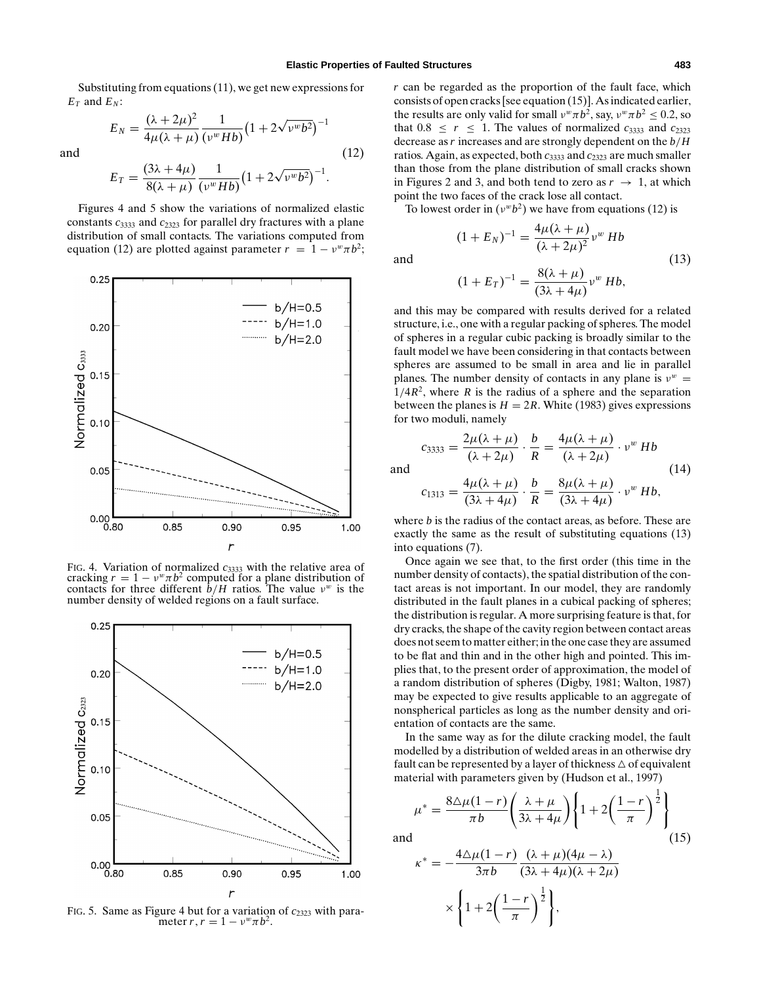Substituting from equations (11), we get new expressions for  $E_T$  and  $E_N$ :

$$
E_N = \frac{(\lambda + 2\mu)^2}{4\mu(\lambda + \mu)} \frac{1}{(\nu^w H b)} (1 + 2\sqrt{\nu^w b^2})^{-1}
$$
  
and (12)

$$
E_T = \frac{(3\lambda + 4\mu)}{8(\lambda + \mu)} \frac{1}{(\nu^w H b)} (1 + 2\sqrt{\nu^w b^2})^{-1}.
$$

Figures 4 and 5 show the variations of normalized elastic constants  $c_{3333}$  and  $c_{2323}$  for parallel dry fractures with a plane distribution of small contacts. The variations computed from equation (12) are plotted against parameter  $r = 1 - v^w \pi b^2$ ;



FIG. 4. Variation of normalized  $c_{3333}$  with the relative area of cracking  $r = 1 - v^w \pi b^2$  computed for a plane distribution of contacts for three different  $\hat{b}/H$  ratios. The value  $v^w$  is the number density of welded regions on a fault surface.



FIG. 5. Same as Figure 4 but for a variation of  $c_{2323}$  with parameter *r*,  $r = 1 - v^w \pi b^2$ .

*r* can be regarded as the proportion of the fault face, which consists of open cracks [see equation (15)]. As indicated earlier, the results are only valid for small  $v^w \pi b^2$ , say,  $v^w \pi b^2 < 0.2$ , so that  $0.8 \leq r \leq 1$ . The values of normalized  $c_{3333}$  and  $c_{2323}$ decrease as*r* increases and are strongly dependent on the *b*/*H* ratios. Again, as expected, both *c*<sup>3333</sup> and *c*<sup>2323</sup> are much smaller than those from the plane distribution of small cracks shown in Figures 2 and 3, and both tend to zero as  $r \to 1$ , at which point the two faces of the crack lose all contact.

To lowest order in  $(v^w b^2)$  we have from equations (12) is

$$
(1 + E_N)^{-1} = \frac{4\mu(\lambda + \mu)}{(\lambda + 2\mu)^2} \nu^w \, Hb \tag{13}
$$

$$
(1 + E_T)^{-1} = \frac{8(\lambda + \mu)}{(3\lambda + 4\mu)} v^w Hb,
$$

and this may be compared with results derived for a related structure, i.e., one with a regular packing of spheres. The model of spheres in a regular cubic packing is broadly similar to the fault model we have been considering in that contacts between spheres are assumed to be small in area and lie in parallel planes. The number density of contacts in any plane is  $v^w =$  $1/4R^2$ , where *R* is the radius of a sphere and the separation between the planes is  $H = 2R$ . White (1983) gives expressions for two moduli, namely

$$
c_{3333} = \frac{2\mu(\lambda + \mu)}{(\lambda + 2\mu)} \cdot \frac{b}{R} = \frac{4\mu(\lambda + \mu)}{(\lambda + 2\mu)} \cdot \nu^w \, Hb
$$
\nand\n
$$
4\mu(\lambda + \mu) = b - 8\mu(\lambda + \mu)
$$
\n(14)

$$
c_{1313} = \frac{4\mu(\lambda+\mu)}{(3\lambda+4\mu)} \cdot \frac{b}{R} = \frac{8\mu(\lambda+\mu)}{(3\lambda+4\mu)} \cdot v^w Hb,
$$

where *b* is the radius of the contact areas, as before. These are exactly the same as the result of substituting equations (13) into equations (7).

Once again we see that, to the first order (this time in the number density of contacts), the spatial distribution of the contact areas is not important. In our model, they are randomly distributed in the fault planes in a cubical packing of spheres; the distribution is regular. A more surprising feature is that, for dry cracks, the shape of the cavity region between contact areas does not seem to matter either; in the one case they are assumed to be flat and thin and in the other high and pointed. This implies that, to the present order of approximation, the model of a random distribution of spheres (Digby, 1981; Walton, 1987) may be expected to give results applicable to an aggregate of nonspherical particles as long as the number density and orientation of contacts are the same.

In the same way as for the dilute cracking model, the fault modelled by a distribution of welded areas in an otherwise dry fault can be represented by a layer of thickness  $\triangle$  of equivalent material with parameters given by (Hudson et al., 1997)

$$
\mu^* = \frac{8\Delta\mu(1-r)}{\pi b} \left(\frac{\lambda+\mu}{3\lambda+4\mu}\right) \left\{1+2\left(\frac{1-r}{\pi}\right)^{\frac{1}{2}}\right\}
$$
  
and  

$$
\kappa^* = -\frac{4\Delta\mu(1-r)}{\mu(1-r)} \frac{(\lambda+\mu)(4\mu-\lambda)}{(\lambda-r)^2}
$$
 (15)

$$
\kappa^* = -\frac{4\Delta\mu(1-r)}{3\pi b} \frac{(\lambda+\mu)(4\mu-\lambda)}{(3\lambda+4\mu)(\lambda+2\mu)}
$$

$$
\times \left\{1+2\left(\frac{1-r}{\pi}\right)^{\frac{1}{2}}\right\},\,
$$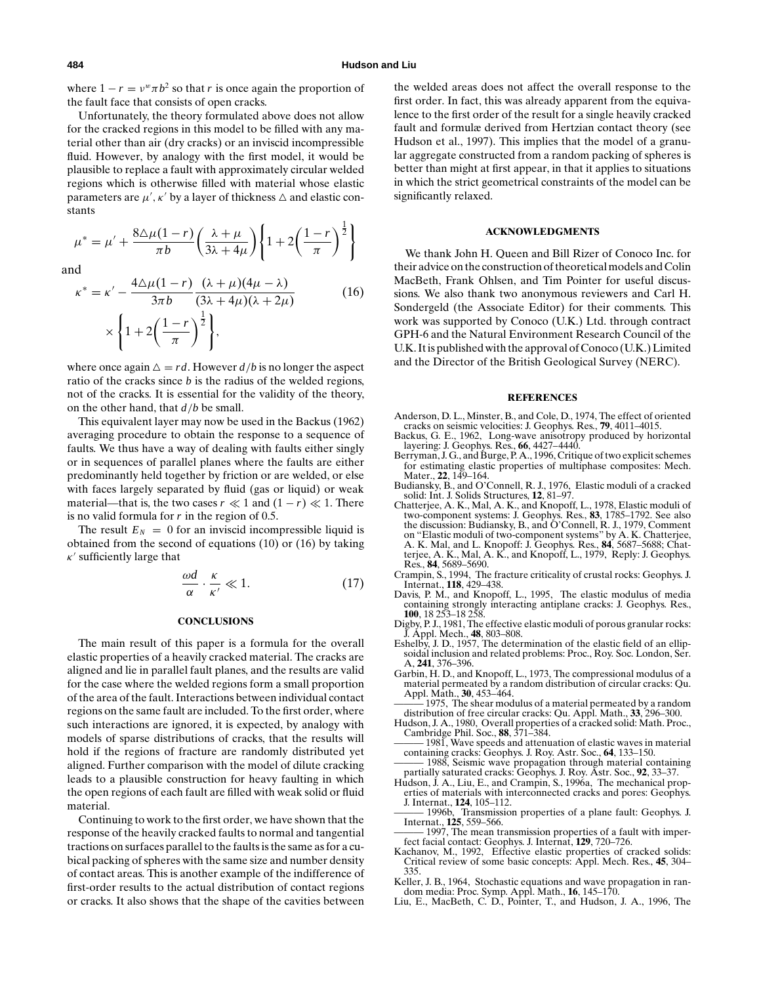where  $1 - r = v^w \pi b^2$  so that *r* is once again the proportion of the fault face that consists of open cracks.

Unfortunately, the theory formulated above does not allow for the cracked regions in this model to be filled with any material other than air (dry cracks) or an inviscid incompressible fluid. However, by analogy with the first model, it would be plausible to replace a fault with approximately circular welded regions which is otherwise filled with material whose elastic parameters are  $\mu'$ ,  $\kappa'$  by a layer of thickness  $\Delta$  and elastic constants

$$
\mu^* = \mu' + \frac{8\Delta\mu(1-r)}{\pi b} \left(\frac{\lambda+\mu}{3\lambda+4\mu}\right) \left\{1+2\left(\frac{1-r}{\pi}\right)^{\frac{1}{2}}\right\}
$$

and

$$
\kappa^* = \kappa' - \frac{4\Delta\mu(1-r)}{3\pi b} \frac{(\lambda+\mu)(4\mu-\lambda)}{(3\lambda+4\mu)(\lambda+2\mu)} \tag{16}
$$
\n
$$
\times \left\{ 1 + 2\left(\frac{1-r}{\lambda}\right)^{\frac{1}{2}} \right\},
$$

$$
\times \left\{1 + 2\left(\frac{1}{\pi}\right)\right\},\
$$
  
where once again  $\Delta = rd$ . However  $d/b$  is no longer the aspect  
ratio of the cracks since b is the radius of the welded regions,  
not of the cracks. It is essential for the validity of the theory,

on the other hand, that *d*/*b* be small. This equivalent layer may now be used in the Backus (1962) averaging procedure to obtain the response to a sequence of faults. We thus have a way of dealing with faults either singly or in sequences of parallel planes where the faults are either predominantly held together by friction or are welded, or else with faces largely separated by fluid (gas or liquid) or weak material—that is, the two cases  $r \ll 1$  and  $(1 - r) \ll 1$ . There is no valid formula for *r* in the region of 0.5.

The result  $E_N = 0$  for an inviscid incompressible liquid is obtained from the second of equations (10) or (16) by taking  $\kappa'$  sufficiently large that

$$
\frac{\omega d}{\alpha} \cdot \frac{\kappa}{\kappa'} \ll 1. \tag{17}
$$

### **CONCLUSIONS**

The main result of this paper is a formula for the overall elastic properties of a heavily cracked material. The cracks are aligned and lie in parallel fault planes, and the results are valid for the case where the welded regions form a small proportion of the area of the fault. Interactions between individual contact regions on the same fault are included. To the first order, where such interactions are ignored, it is expected, by analogy with models of sparse distributions of cracks, that the results will hold if the regions of fracture are randomly distributed yet aligned. Further comparison with the model of dilute cracking leads to a plausible construction for heavy faulting in which the open regions of each fault are filled with weak solid or fluid material.

Continuing to work to the first order, we have shown that the response of the heavily cracked faults to normal and tangential tractions on surfaces parallel to the faults is the same as for a cubical packing of spheres with the same size and number density of contact areas. This is another example of the indifference of first-order results to the actual distribution of contact regions or cracks. It also shows that the shape of the cavities between

the welded areas does not affect the overall response to the first order. In fact, this was already apparent from the equivalence to the first order of the result for a single heavily cracked fault and formulæ derived from Hertzian contact theory (see Hudson et al., 1997). This implies that the model of a granular aggregate constructed from a random packing of spheres is better than might at first appear, in that it applies to situations in which the strict geometrical constraints of the model can be significantly relaxed.

### **ACKNOWLEDGMENTS**

We thank John H. Queen and Bill Rizer of Conoco Inc. for their advice on the construction of theoretical models and Colin MacBeth, Frank Ohlsen, and Tim Pointer for useful discussions. We also thank two anonymous reviewers and Carl H. Sondergeld (the Associate Editor) for their comments. This work was supported by Conoco (U.K.) Ltd. through contract GPH-6 and the Natural Environment Research Council of the U.K. It is published with the approval of Conoco (U.K.) Limited and the Director of the British Geological Survey (NERC).

#### **REFERENCES**

- Anderson, D. L., Minster, B., and Cole, D., 1974, The effect of oriented cracks on seismic velocities: J. Geophys. Res., **79**, 4011–4015.
- Backus, G. E., 1962, Long-wave anisotropy produced by horizontal layering: J. Geophys. Res., **66**, 4427–4440.
- Berryman, J. G., and Burge, P. A., 1996, Critique of two explicit schemes for estimating elastic properties of multiphase composites: Mech. Mater., **22**, 149–164.
- Budiansky, B., and O'Connell, R. J., 1976, Elastic moduli of a cracked solid: Int. J. Solids Structures, **12**, 81–97.
- Chatterjee, A. K., Mal, A. K., and Knopoff, L., 1978, Elastic moduli of two-component systems: J. Geophys. Res., **83**, 1785–1792. See also the discussion: Budiansky, B., and O'Connell, R. J., 1979, Comment on "Elastic moduli of two-component systems" by A. K. Chatterjee, A. K. Mal, and L. Knopoff: J. Geophys. Res., **84**, 5687–5688; Chat-terjee, A. K., Mal, A. K., and Knopoff, L., 1979, Reply: J. Geophys. Res., **84**, 5689–5690.
- Crampin, S., 1994, The fracture criticality of crustal rocks: Geophys. J. Internat., **118**, 429–438.
- Davis, P. M., and Knopoff, L., 1995, The elastic modulus of media containing strongly interacting antiplane cracks: J. Geophys. Res., **100**, 18 253–18 258.
- Digby, P. J., 1981, The effective elastic moduli of porous granular rocks: J. Appl. Mech., **48**, 803–808.
- Eshelby, J. D., 1957, The determination of the elastic field of an ellipsoidal inclusion and related problems: Proc., Roy. Soc. London, Ser. A, **241**, 376–396.
- Garbin, H. D., and Knopoff, L., 1973, The compressional modulus of a material permeated by a random distribution of circular cracks: Qu. Appl. Math., **30**, 453–464.
- 1975, The shear modulus of a material permeated by a random distribution of free circular cracks: Qu. Appl. Math., **33**, 296–300.
- Hudson, J. A., 1980, Overall properties of a cracked solid: Math. Proc., Cambridge Phil. Soc., **88**, 371–384.
- 1981, Wave speeds and attenuation of elastic waves in material containing cracks: Geophys. J. Roy. Astr. Soc., **64**, 133–150. 1988, Seismic wave propagation through material containing
- partially saturated cracks: Geophys. J. Roy. Astr. Soc., **92**, 33–37. Hudson, J. A., Liu, E., and Crampin, S., 1996a, The mechanical prop-
- erties of materials with interconnected cracks and pores: Geophys. J. Internat., **124**, 105–112.
- Transmission properties of a plane fault: Geophys. J. Internat., **125**, 559–566.
- 1997, The mean transmission properties of a fault with imperfect facial contact: Geophys. J. Internat, **129**, 720–726.
- Kachanov, M., 1992, Effective elastic properties of cracked solids: Critical review of some basic concepts: Appl. Mech. Res., **45**, 304– 335.
- Keller, J. B., 1964, Stochastic equations and wave propagation in random media: Proc. Symp. Appl. Math., **16**, 145–170.
- Liu, E., MacBeth, C. D., Pointer, T., and Hudson, J. A., 1996, The